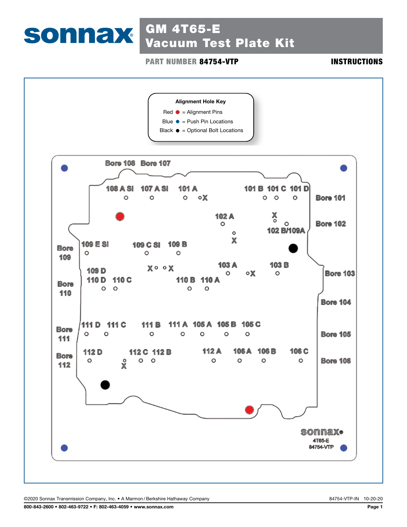# SONNAX GM 4T65-E Vacuum Test Plate Kit

**PART NUMBER 84754-VTP INSTRUCTIONS** 

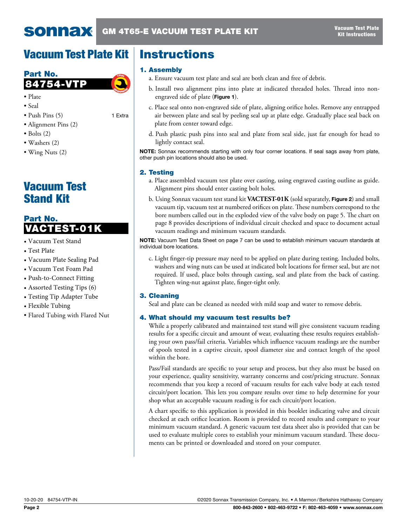# Vacuum Test Plate Kit



- Plate
- Seal
- Push Pins (5) 1 Extra
- Alignment Pins (2)
- $\bullet$  Bolts (2)
- Washers (2)
- Wing Nuts (2)

# Vacuum Test Stand Kit

# Part No. VACTEST-01K

- Vacuum Test Stand
- Test Plate
- Vacuum Plate Sealing Pad
- Vacuum Test Foam Pad
- Push-to-Connect Fitting
- Assorted Testing Tips (6)
- Testing Tip Adapter Tube
- Flexible Tubing
- Flared Tubing with Flared Nut

# **Instructions**

### 1. Assembly

- a. Ensure vacuum test plate and seal are both clean and free of debris.
- b. Install two alignment pins into plate at indicated threaded holes. Thread into nonengraved side of plate (Figure 1).
- c. Place seal onto non-engraved side of plate, aligning orifice holes. Remove any entrapped air between plate and seal by peeling seal up at plate edge. Gradually place seal back on plate from center toward edge.
- d. Push plastic push pins into seal and plate from seal side, just far enough for head to lightly contact seal.

NOTE: Sonnax recommends starting with only four corner locations. If seal sags away from plate, other push pin locations should also be used.

### 2. Testing

- a. Place assembled vacuum test plate over casting, using engraved casting outline as guide. Alignment pins should enter casting bolt holes.
- b. Using Sonnax vacuum test stand kit **VACTEST-01K** (sold separately, Figure 2) and small vacuum tip, vacuum test at numbered orifices on plate. These numbers correspond to the bore numbers called out in the exploded view of the valve body on page 5. The chart on page 8 provides descriptions of individual circuit checked and space to document actual vacuum readings and minimum vacuum standards.

NOTE: Vacuum Test Data Sheet on page 7 can be used to establish minimum vacuum standards at individual bore locations.

c. Light finger-tip pressure may need to be applied on plate during testing. Included bolts, washers and wing nuts can be used at indicated bolt locations for firmer seal, but are not required. If used, place bolts through casting, seal and plate from the back of casting. Tighten wing-nut against plate, finger-tight only.

### 3. Cleaning

Seal and plate can be cleaned as needed with mild soap and water to remove debris.

### 4. What should my vacuum test results be?

While a properly calibrated and maintained test stand will give consistent vacuum reading results for a specific circuit and amount of wear, evaluating these results requires establishing your own pass/fail criteria. Variables which influence vacuum readings are the number of spools tested in a captive circuit, spool diameter size and contact length of the spool within the bore.

Pass/Fail standards are specific to your setup and process, but they also must be based on your experience, quality sensitivity, warranty concerns and cost/pricing structure. Sonnax recommends that you keep a record of vacuum results for each valve body at each tested circuit/port location. This lets you compare results over time to help determine for your shop what an acceptable vacuum reading is for each circuit/port location.

A chart specific to this application is provided in this booklet indicating valve and circuit checked at each orifice location. Room is provided to record results and compare to your minimum vacuum standard. A generic vacuum test data sheet also is provided that can be used to evaluate multiple cores to establish your minimum vacuum standard. These documents can be printed or downloaded and stored on your computer.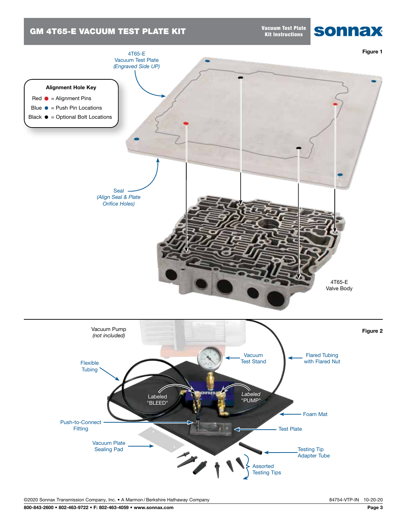### GM 4T65-E VACUUM TEST PLATE KIT

Vacuum Test Plate Kit Instructions



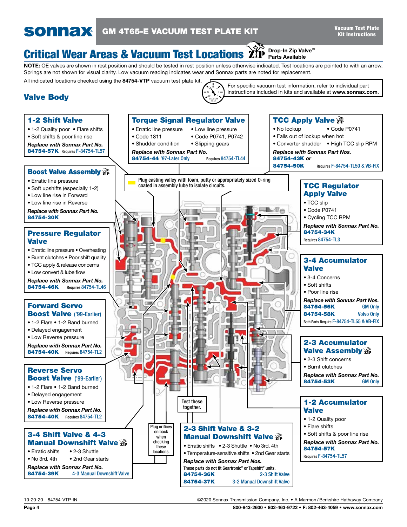### **sonnax** GM 4T65-E VACUUM TEST PLATE KIT

For specific vacuum test information, refer to individual part instructions included in kits and available at www.sonnax.com.

### Drop-In Zip Valve™ **Critical Wear Areas & Vacuum Test Locations**  $\chi^{\text{QCD}}_{\text{P}}$  **Prop-In Zip Vali**

NOTE: OE valves are shown in rest position and should be tested in rest position unless otherwise indicated. Test locations are pointed to with an arrow. Springs are not shown for visual clarity. Low vacuum reading indicates wear and Sonnax parts are noted for replacement.

All indicated locations checked using the 84754-VTP vacuum test plate kit.

## Valve Body

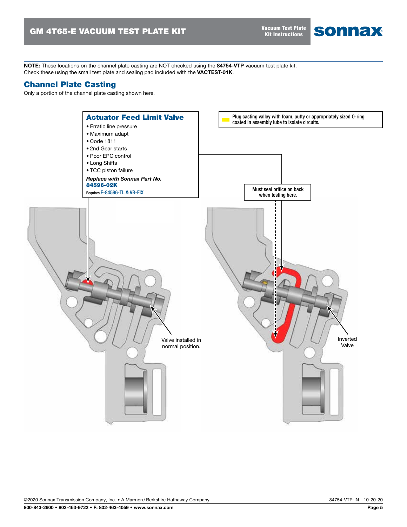Vacuum Test Plate Kit Instructions

sonnax

NOTE: These locations on the channel plate casting are NOT checked using the 84754-VTP vacuum test plate kit. Check these using the small test plate and sealing pad included with the VACTEST-01K.

### Channel Plate Casting

Only a portion of the channel plate casting shown here.

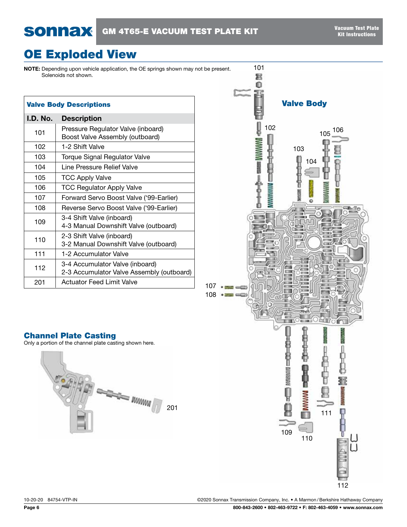# OE Exploded View

NOTE: Depending upon vehicle application, the OE springs shown may not be present. Solenoids not shown.

| <b>Valve Body Descriptions</b>                 |                                                                              |  |  |  |  |
|------------------------------------------------|------------------------------------------------------------------------------|--|--|--|--|
| I.D. No.                                       | <b>Description</b>                                                           |  |  |  |  |
| 101                                            | Pressure Regulator Valve (inboard)<br>Boost Valve Assembly (outboard)        |  |  |  |  |
| 102                                            | 1-2 Shift Valve                                                              |  |  |  |  |
| 103                                            | Torque Signal Regulator Valve                                                |  |  |  |  |
| 104                                            | Line Pressure Relief Valve                                                   |  |  |  |  |
| 105                                            | <b>TCC Apply Valve</b>                                                       |  |  |  |  |
| 106                                            | <b>TCC Regulator Apply Valve</b>                                             |  |  |  |  |
| 107                                            | Forward Servo Boost Valve ('99-Earlier)                                      |  |  |  |  |
| 108<br>Reverse Servo Boost Valve ('99-Earlier) |                                                                              |  |  |  |  |
| 109                                            | 3-4 Shift Valve (inboard)<br>4-3 Manual Downshift Valve (outboard)           |  |  |  |  |
| 110                                            | 2-3 Shift Valve (inboard)<br>3-2 Manual Downshift Valve (outboard)           |  |  |  |  |
| 111                                            | 1-2 Accumulator Valve                                                        |  |  |  |  |
| 112                                            | 3-4 Accumulator Valve (inboard)<br>2-3 Accumulator Valve Assembly (outboard) |  |  |  |  |
| 201                                            | Actuator Feed Limit Valve                                                    |  |  |  |  |



### Channel Plate Casting

Only a portion of the channel plate casting shown here.

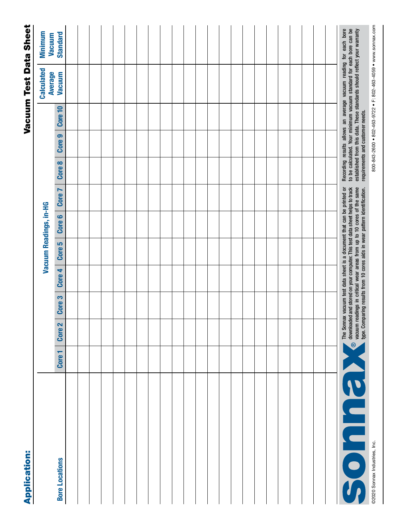| <b>Application:</b>           |                   |                   |                   |        |        |                                                                                                                                                                                                                               |        |        |                                  |         | Vacuum Test Data Sheet                                                                                                                                                                                              |                           |
|-------------------------------|-------------------|-------------------|-------------------|--------|--------|-------------------------------------------------------------------------------------------------------------------------------------------------------------------------------------------------------------------------------|--------|--------|----------------------------------|---------|---------------------------------------------------------------------------------------------------------------------------------------------------------------------------------------------------------------------|---------------------------|
|                               |                   |                   |                   |        |        | Vacuum Readings, in-HG                                                                                                                                                                                                        |        |        |                                  |         | <b>Calculated</b>                                                                                                                                                                                                   | Minimum                   |
| <b>Bore Locations</b>         | Core <sub>1</sub> | Core <sub>2</sub> | Core <sub>3</sub> | Core 4 | Core 5 | Core 6                                                                                                                                                                                                                        | Core 7 | Core 8 | Core 9                           | Core 10 | <b>Average</b><br>Vacuum                                                                                                                                                                                            | <b>Standard</b><br>Vacuum |
|                               |                   |                   |                   |        |        |                                                                                                                                                                                                                               |        |        |                                  |         |                                                                                                                                                                                                                     |                           |
|                               |                   |                   |                   |        |        |                                                                                                                                                                                                                               |        |        |                                  |         |                                                                                                                                                                                                                     |                           |
|                               |                   |                   |                   |        |        |                                                                                                                                                                                                                               |        |        |                                  |         |                                                                                                                                                                                                                     |                           |
|                               |                   |                   |                   |        |        |                                                                                                                                                                                                                               |        |        |                                  |         |                                                                                                                                                                                                                     |                           |
|                               |                   |                   |                   |        |        |                                                                                                                                                                                                                               |        |        |                                  |         |                                                                                                                                                                                                                     |                           |
|                               |                   |                   |                   |        |        |                                                                                                                                                                                                                               |        |        |                                  |         |                                                                                                                                                                                                                     |                           |
|                               |                   |                   |                   |        |        |                                                                                                                                                                                                                               |        |        |                                  |         |                                                                                                                                                                                                                     |                           |
|                               |                   |                   |                   |        |        |                                                                                                                                                                                                                               |        |        |                                  |         |                                                                                                                                                                                                                     |                           |
|                               |                   |                   |                   |        |        |                                                                                                                                                                                                                               |        |        |                                  |         |                                                                                                                                                                                                                     |                           |
|                               |                   |                   |                   |        |        |                                                                                                                                                                                                                               |        |        |                                  |         |                                                                                                                                                                                                                     |                           |
|                               |                   |                   |                   |        |        |                                                                                                                                                                                                                               |        |        |                                  |         |                                                                                                                                                                                                                     |                           |
|                               |                   |                   |                   |        |        |                                                                                                                                                                                                                               |        |        |                                  |         |                                                                                                                                                                                                                     |                           |
|                               |                   |                   |                   |        |        |                                                                                                                                                                                                                               |        |        |                                  |         |                                                                                                                                                                                                                     |                           |
|                               |                   |                   |                   |        |        |                                                                                                                                                                                                                               |        |        |                                  |         |                                                                                                                                                                                                                     |                           |
|                               |                   |                   |                   |        |        |                                                                                                                                                                                                                               |        |        |                                  |         |                                                                                                                                                                                                                     |                           |
|                               |                   |                   |                   |        |        |                                                                                                                                                                                                                               |        |        |                                  |         |                                                                                                                                                                                                                     |                           |
|                               |                   |                   |                   |        |        |                                                                                                                                                                                                                               |        |        |                                  |         |                                                                                                                                                                                                                     |                           |
|                               |                   |                   |                   |        |        |                                                                                                                                                                                                                               |        |        |                                  |         |                                                                                                                                                                                                                     |                           |
|                               |                   |                   |                   |        |        |                                                                                                                                                                                                                               |        |        |                                  |         |                                                                                                                                                                                                                     |                           |
|                               |                   |                   |                   |        |        |                                                                                                                                                                                                                               |        |        |                                  |         |                                                                                                                                                                                                                     |                           |
|                               |                   |                   |                   |        |        |                                                                                                                                                                                                                               |        |        |                                  |         |                                                                                                                                                                                                                     |                           |
|                               |                   |                   |                   |        |        |                                                                                                                                                                                                                               |        |        |                                  |         |                                                                                                                                                                                                                     |                           |
|                               |                   |                   |                   |        |        |                                                                                                                                                                                                                               |        |        |                                  |         |                                                                                                                                                                                                                     |                           |
|                               |                   |                   |                   |        |        | The Sonnax vacuum test data sheet is a document that can be printed or downloaded and stored on your computer. This test data sheet helps to track vacuum readings in critical wear areas from up to 10 cores of the same typ |        |        |                                  |         | Recording results allows an average vacuum reading for each bore<br>to be calculated. Your minimum vacuum standard for each bore can be<br>established from this data. These standards should reflect your warranty |                           |
| @2020 Sonnax Industries, Inc. |                   |                   |                   |        |        |                                                                                                                                                                                                                               |        |        | requirements and customer needs. |         | 800-843-2600 · 802-463-9722 · F: 802-463-4059 · www.sonnax.com                                                                                                                                                      |                           |

# Vacuum Test Data Sheet

**Annication:**